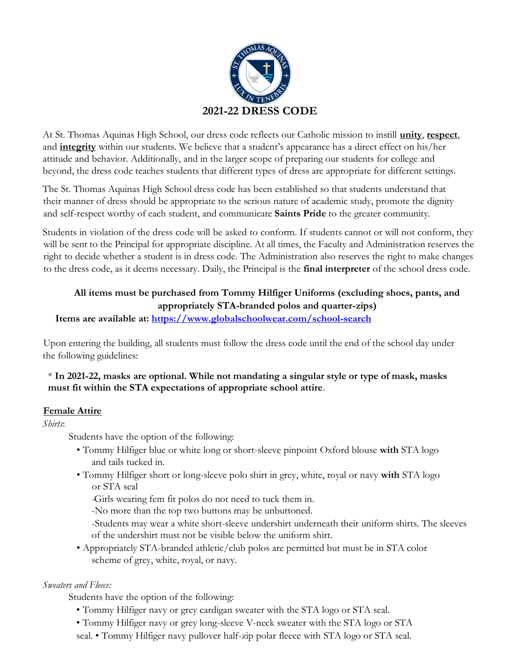

At St. Thomas Aquinas High School, our dress code reflects our Catholic mission to instill **unity**, **respect**, and **integrity** within our students. We believe that a student's appearance has a direct effect on his/her attitude and behavior. Additionally, and in the larger scope of preparing our students for college and beyond, the dress code teaches students that different types of dress are appropriate for different settings.

The St. Thomas Aquinas High School dress code has been established so that students understand that their manner of dress should be appropriate to the serious nature of academic study, promote the dignity and self-respect worthy of each student, and communicate **Saints Pride** to the greater community.

Students in violation of the dress code will be asked to conform. If students cannot or will not conform, they will be sent to the Principal for appropriate discipline. At all times, the Faculty and Administration reserves the right to decide whether a student is in dress code. The Administration also reserves the right to make changes to the dress code, as it deems necessary. Daily, the Principal is the **final interpreter** of the school dress code.

# **All items must be purchased from Tommy Hilfiger Uniforms (excluding shoes, pants, and appropriately STA-branded polos and quarter-zips)**

**Items are available at: https://www.globalschoolwear.com/school-search**

Upon entering the building, all students must follow the dress code until the end of the school day under the following guidelines:

## \* **In 2021-22, masks are optional. While not mandating a singular style or type of mask, masks must fit within the STA expectations of appropriate school attire**.

## **Female Attire**

*Shirts*:

Students have the option of the following:

- Tommy Hilfiger blue or white long or short-sleeve pinpoint Oxford blouse **with** STA logo and tails tucked in.
- Tommy Hilfiger short or long-sleeve polo shirt in grey, white, royal or navy **with** STA logo or STA seal

*-*Girls wearing fem fit polos do not need to tuck them in.

-No more than the top two buttons may be unbuttoned.

-Students may wear a white short-sleeve undershirt underneath their uniform shirts. The sleeves of the undershirt must not be visible below the uniform shirt.

• Appropriately STA-branded athletic/club polos are permitted but must be in STA color scheme of grey, white, royal, or navy.

# *Sweaters and Fleece:*

Students have the option of the following:

- Tommy Hilfiger navy or grey cardigan sweater with the STA logo or STA seal.
- Tommy Hilfiger navy or grey long-sleeve V-neck sweater with the STA logo or STA
- seal. Tommy Hilfiger navy pullover half-zip polar fleece with STA logo or STA seal.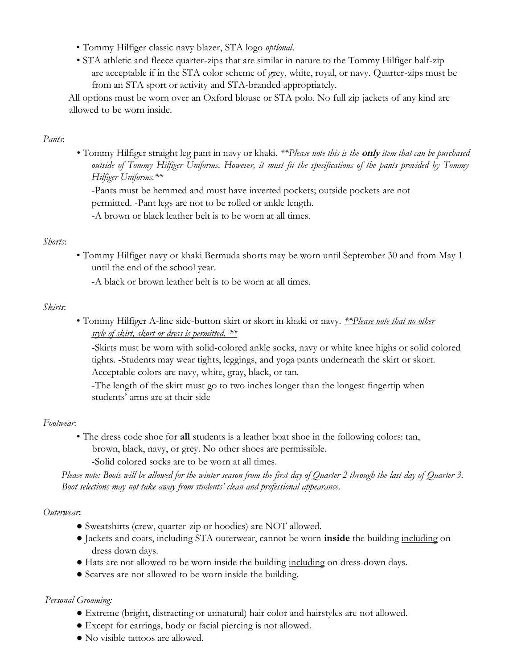- Tommy Hilfiger classic navy blazer, STA logo *optional*.
- STA athletic and fleece quarter-zips that are similar in nature to the Tommy Hilfiger half-zip are acceptable if in the STA color scheme of grey, white, royal, or navy. Quarter-zips must be from an STA sport or activity and STA-branded appropriately.

All options must be worn over an Oxford blouse or STA polo. No full zip jackets of any kind are allowed to be worn inside.

#### *Pants*:

• Tommy Hilfiger straight leg pant in navy or khaki. *\*\*Please note this is the* **only** *item that can be purchased outside of Tommy Hilfiger Uniforms. However, it must fit the specifications of the pants provided by Tommy Hilfiger Uniforms.\*\** 

-Pants must be hemmed and must have inverted pockets; outside pockets are not permitted. -Pant legs are not to be rolled or ankle length. -A brown or black leather belt is to be worn at all times.

#### *Shorts*:

• Tommy Hilfiger navy or khaki Bermuda shorts may be worn until September 30 and from May 1 until the end of the school year.

-A black or brown leather belt is to be worn at all times.

#### *Skirts*:

• Tommy Hilfiger A-line side-button skirt or skort in khaki or navy. *\*\*Please note that no other style of skirt, skort or dress is permitted. \*\**

-Skirts must be worn with solid-colored ankle socks, navy or white knee highs or solid colored tights. -Students may wear tights, leggings, and yoga pants underneath the skirt or skort. Acceptable colors are navy, white, gray, black, or tan.

-The length of the skirt must go to two inches longer than the longest fingertip when students' arms are at their side

#### *Footwear*:

• The dress code shoe for **all** students is a leather boat shoe in the following colors: tan, brown, black, navy, or grey. No other shoes are permissible.

-Solid colored socks are to be worn at all times.

*Please note: Boots will be allowed for the winter season from the first day of Quarter 2 through the last day of Quarter 3. Boot selections may not take away from students' clean and professional appearance.* 

#### *Outerwear***:**

- Sweatshirts (crew, quarter-zip or hoodies) are NOT allowed.
- Jackets and coats, including STA outerwear, cannot be worn **inside** the building including on dress down days.
- Hats are not allowed to be worn inside the building including on dress-down days.
- Scarves are not allowed to be worn inside the building.

#### *Personal Grooming:*

- Extreme (bright, distracting or unnatural) hair color and hairstyles are not allowed.
- Except for earrings, body or facial piercing is not allowed.
- No visible tattoos are allowed.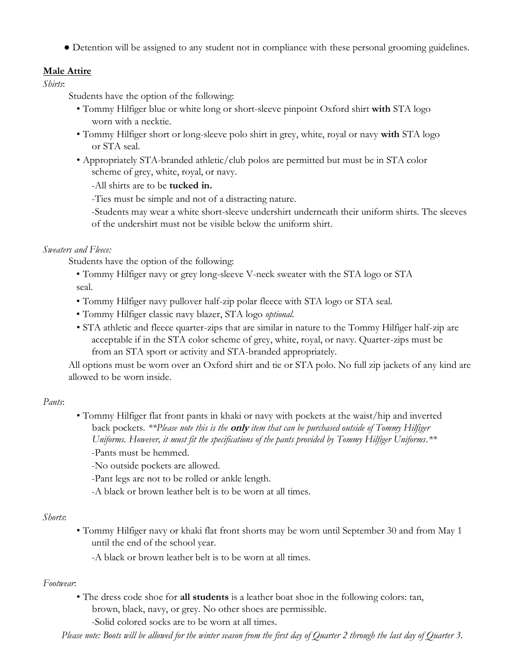● Detention will be assigned to any student not in compliance with these personal grooming guidelines.

### **Male Attire**

*Shirts*:

Students have the option of the following:

- Tommy Hilfiger blue or white long or short-sleeve pinpoint Oxford shirt **with** STA logo worn with a necktie.
- Tommy Hilfiger short or long-sleeve polo shirt in grey, white, royal or navy **with** STA logo or STA seal.
- Appropriately STA-branded athletic/club polos are permitted but must be in STA color scheme of grey, white, royal, or navy.

-All shirts are to be **tucked in.** 

-Ties must be simple and not of a distracting nature.

-Students may wear a white short-sleeve undershirt underneath their uniform shirts. The sleeves of the undershirt must not be visible below the uniform shirt.

#### *Sweaters and Fleece:*

Students have the option of the following:

- Tommy Hilfiger navy or grey long-sleeve V-neck sweater with the STA logo or STA seal.
- Tommy Hilfiger navy pullover half-zip polar fleece with STA logo or STA seal.
- Tommy Hilfiger classic navy blazer, STA logo *optional.*
- STA athletic and fleece quarter-zips that are similar in nature to the Tommy Hilfiger half-zip are acceptable if in the STA color scheme of grey, white, royal, or navy. Quarter-zips must be from an STA sport or activity and STA-branded appropriately.

All options must be worn over an Oxford shirt and tie or STA polo. No full zip jackets of any kind are allowed to be worn inside.

## *Pants*:

• Tommy Hilfiger flat front pants in khaki or navy with pockets at the waist/hip and inverted back pockets. *\*\*Please note this is the* **only** *item that can be purchased outside of Tommy Hilfiger Uniforms. However, it must fit the specifications of the pants provided by Tommy Hilfiger Uniforms.\*\**  -Pants must be hemmed.

-No outside pockets are allowed.

- -Pant legs are not to be rolled or ankle length.
- -A black or brown leather belt is to be worn at all times.

#### *Shorts*:

• Tommy Hilfiger navy or khaki flat front shorts may be worn until September 30 and from May 1 until the end of the school year.

-A black or brown leather belt is to be worn at all times.

#### *Footwear*:

• The dress code shoe for **all students** is a leather boat shoe in the following colors: tan, brown, black, navy, or grey. No other shoes are permissible.

-Solid colored socks are to be worn at all times.

*Please note: Boots will be allowed for the winter season from the first day of Quarter 2 through the last day of Quarter 3.*